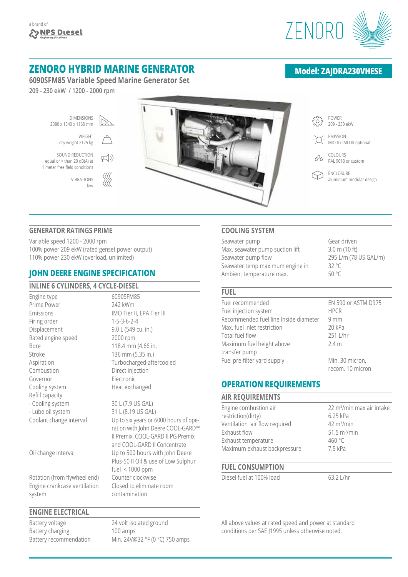

# **ZENORO HYBRID MARINE GENERATOR**

**6090SFM85 Variable Speed Marine Generator Set**

 $\mp$ (1)

∰

**209 - 230 ekW / 1200 - 2000 rpm**

DIMENSIONS 2380 x 1340 x 1160 mm

WEIGHT

dry weight 2125 kg SOUND REDUCTION

equal or > than 20 dB(A) at 1 meter free field conditions

> VIBRATIONS low



## **GENERATOR RATINGS PRIME**

Variable speed 1200 - 2000 rpm 100% power 209 ekW (rated genset power output) 110% power 230 ekW (overload, unlimited)

## **JOHN DEERE ENGINE SPECIFICATION**

#### **INLINE 6 CYLINDERS, 4 CYCLE-DIESEL** Engine type 6090SFM85 Prime Power 242 kWm Emissions IMO Tier II, EPA Tier III Firing order 1-5-3-6-2-4 Displacement 9.0 L (549 cu. in.) Rated engine speed 2000 rpm Bore 118.4 mm (4.66 in. Stroke 136 mm (5.35 in.) Aspiration Turbocharged-aftercooled Combustion Direct injection Governor Electronic Cooling system Heat exchanged Refill capacity - Cooling system 30 L (7.9 US GAL) - Lube oil system 31 L (8.19 US GAL) Coolant change interval Up to six years or 6000 hours of operation with John Deere COOL-GARD™ II Premix, COOL-GARD II PG Premix

Oil change interval Up to 500 hours with John Deere

Rotation (from flywheel end) Counter clockwise Engine crankcase ventilation Closed to eliminate room system contamination

#### **ENGINE ELECTRICAL**

Battery voltage 24 volt isolated ground Battery charging 100 amps Battery recommendation Min. 24V@32 °F (0 °C) 750 amps

and COOL-GARD II Concentrate

fuel < 1000 ppm

Plus-50 II Oil & use of Low Sulphur

## **COOLING SYSTEM**

| Seawater pump                   | Gear driven             |
|---------------------------------|-------------------------|
| Max. seawater pump suction lift | $3.0 \text{ m}$ (10 ft) |
| Seawater pump flow              | 295 L/m (78 US GAL/m)   |
| Seawater temp maximum engine in | 32 $\degree$ C          |
| Ambient temperature max.        | 50 °C                   |

#### **FUEL**

| Fuel recommended                      | EN 590 or ASTM D975 |
|---------------------------------------|---------------------|
| Fuel injection system                 | <b>HPCR</b>         |
| Recommended fuel line Inside diameter | 9mm                 |
| Max. fuel inlet restriction           | 20 kPa              |
| Total fuel flow                       | 251 L/hr            |
| Maximum fuel height above             | 2.4 <sub>m</sub>    |
| transfer pump                         |                     |
| Fuel pre-filter yard supply           | Min. 30 micron,     |
|                                       | recom. 10 micron    |

## **OPERATION REQUIREMENTS**

| <b>AIR REQUIREMENTS</b>       |                                       |
|-------------------------------|---------------------------------------|
| Engine combustion air         | 22 m <sup>3</sup> /min max air intake |
| restriction(dirty)            | 6.25 kPa                              |
| Ventilation air flow required | $42 \text{ m}^3/\text{min}$           |
| Exhaust flow                  | $51.5 \text{ m}^3/\text{min}$         |
| Exhaust temperature           | 460 °C                                |
| Maximum exhaust backpressure  | 7.5 kPa                               |
|                               |                                       |

## **FUEL CONSUMPTION**

Diesel fuel at 100% load 63.2 L/hr

All above values at rated speed and power at standard conditions per SAE J1995 unless otherwise noted.

## **Model: ZAJDRA230VHESE**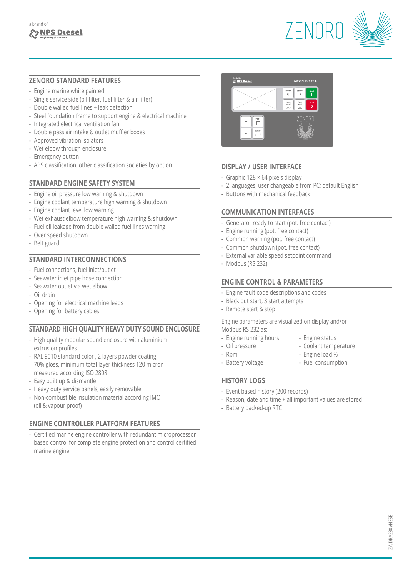

## **ZENORO STANDARD FEATURES**

- Engine marine white painted
- Single service side (oil filter, fuel filter & air filter)
- Double walled fuel lines + leak detection
- Steel foundation frame to support engine & electrical machine
- Integrated electrical ventilation fan
- Double pass air intake & outlet muffler boxes
- Approved vibration isolators
- Wet elbow through enclosure
- Emergency button
- ABS classification, other classification societies by option

## **STANDARD ENGINE SAFETY SYSTEM**

- Engine oil pressure low warning & shutdown
- Engine coolant temperature high warning & shutdown
- Engine coolant level low warning
- Wet exhaust elbow temperature high warning & shutdown
- Fuel oil leakage from double walled fuel lines warning
- Over speed shutdown
- Belt guard

## **STANDARD INTERCONNECTIONS**

- Fuel connections, fuel inlet/outlet
- Seawater inlet pipe hose connection
- Seawater outlet via wet elbow
- Oil drain
- Opening for electrical machine leads
- Opening for battery cables

## **STANDARD HIGH QUALITY HEAVY DUTY SOUND ENCLOSURE**

- High quality modular sound enclosure with aluminium extrusion profiles
- RAL 9010 standard color , 2 layers powder coating, 70% gloss, minimum total layer thickness 120 micron measured according ISO 2808
- Easy built up & dismantle
- Heavy duty service panels, easily removable
- Non-combustible insulation material according IMO (oil & vapour proof)

#### **ENGINE CONTROLLER PLATFORM FEATURES**

- Certified marine engine controller with redundant microprocessor based control for complete engine protection and control certified marine engine



## **DISPLAY / USER INTERFACE**

- Graphic 128 × 64 pixels display
- 2 languages, user changeable from PC; default English
- Buttons with mechanical feedback

## **COMMUNICATION INTERFACES**

- Generator ready to start (pot. free contact)
- Engine running (pot. free contact)
- Common warning (pot. free contact)
- Common shutdown (pot. free contact)
- External variable speed setpoint command
- Modbus (RS 232)

## **ENGINE CONTROL & PARAMETERS**

- Engine fault code descriptions and codes
- Black out start, 3 start attempts
- Remote start & stop

Engine parameters are visualized on display and/or Modbus RS 232 as:

- Engine running hours Engine status
- Oil pressure Coolant temperature
- 
- Rpm  $-$  Engine load %
	-
- Battery voltage Fuel consumption

#### **HISTORY LOGS**

- Event based history (200 records)
- Reason, date and time + all important values are stored
- Battery backed-up RTC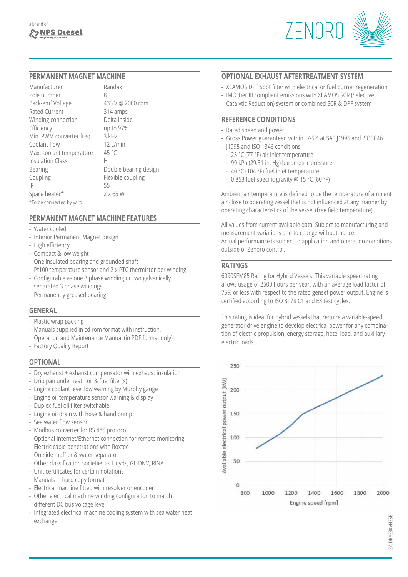

#### **PERMANENT MAGNET MACHINE**

| Manufacturer             | Randax                |
|--------------------------|-----------------------|
| Pole number              | 8                     |
| Back-emf Voltage         | 433 V @ 2000 rpm      |
| Rated Current            | 314 amps              |
| Winding connection       | Delta inside          |
| Efficiency               | up to 97%             |
| Min. PWM converter freq. | 3 kHz                 |
| Coolant flow             | $12$   /min           |
| Max. coolant temperature | $45^{\circ}$ C        |
| <b>Insulation Class</b>  | Н                     |
| <b>Bearing</b>           | Double bearing design |
| Coupling                 | Flexible coupling     |
| ΙP                       | 55                    |
| Space heater*            | $2 \times 65$ W       |
| *To be connected by yard |                       |

## **PERMANENT MAGNET MACHINE FEATURES**

- Water cooled
- Interior Permanent Magnet design
- High efficiency
- Compact & low weight
- One insulated bearing and grounded shaft
- Pt100 temperature sensor and 2 x PTC thermistor per winding
- Configurable as one 3 phase winding or two galvanically separated 3 phase windings
- Permanently greased bearings

## **GENERAL**

- Plastic wrap packing
- Manuals supplied in cd rom format with instruction, Operation and Maintenance Manual (in PDF format only)
- Factory Quality Report

#### **OPTIONAL**

- Dry exhaust + exhaust compensator with exhaust insulation
- Drip pan underneath oil & fuel filter(s)
- Engine coolant level low warning by Murphy gauge
- Engine oil temperature sensor warning & display
- Duplex fuel oil filter switchable
- Engine oil drain with hose & hand pump
- Sea water flow sensor
- Modbus converter for RS 485 protocol
- Optional Internet/Ethernet connection for remote monitoring
- Electric cable penetrations with Roxtec
- Outside muffler & water separator
- Other classification societies as Lloyds, GL-DNV, RINA
- Unit certificates for certain notations
- Manuals in hard copy format
- Electrical machine fitted with resolver or encoder
- Other electrical machine winding configuration to match different DC bus voltage level
- Integrated electrical machine cooling system with sea water heat exchanger

#### **OPTIONAL EXHAUST AFTERTREATMENT SYSTEM**

- XEAMOS DPF Soot filter with electrical or fuel burner regeneration
- IMO Tier III compliant emissions with XEAMOS SCR (Selective Catalytic Reduction) system or combined SCR & DPF system

#### **REFERENCE CONDITIONS**

- Rated speed and power
- Gross Power guaranteed within +/-5% at SAE J1995 and ISO3046
- J1995 and ISO 1346 conditions:
- 25 °C (77 °F) air inlet temperature
- 99 kPa (29.31 in. Hg) barometric pressure
- 40 °C (104 °F) fuel inlet temperature
- 0.853 fuel specific gravity @ 15 °C (60 °F)

Ambient air temperature is defined to be the temperature of ambient air close to operating vessel that is not influenced at any manner by operating characteristics of the vessel (free field temperature).

All values from current available data. Subject to manufacturing and measurement variations and to change without notice. Actual performance is subject to application and operation conditions outside of Zenoro control.

## **RATINGS**

6090SFM85 Rating for Hybrid Vessels. This variable speed rating allows usage of 2500 hours per year, with an average load factor of 75% or less with respect to the rated genset power output. Engine is certified according to ISO 8178 C1 and E3 test cycles.

This rating is ideal for hybrid vessels that require a variable-speed generator drive engine to develop electrical power for any combination of electric propulsion, energy storage, hotel load, and auxiliary electric loads.



ZAJDRA230VHESE

ZAIDRA230VHESI